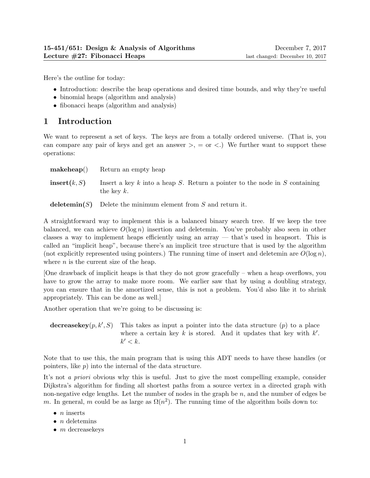Here's the outline for today:

- Introduction: describe the heap operations and desired time bounds, and why they're useful
- binomial heaps (algorithm and analysis)
- fibonacci heaps (algorithm and analysis)

## 1 Introduction

We want to represent a set of keys. The keys are from a totally ordered universe. (That is, you can compare any pair of keys and get an answer  $\geq$ ,  $=$  or  $\lt$ .) We further want to support these operations:

| makeheap()   | Return an empty heap                                                                               |
|--------------|----------------------------------------------------------------------------------------------------|
| insert(k, S) | Insert a key $k$ into a heap $S$ . Return a pointer to the node in $S$ containing<br>the key $k$ . |
|              | <b>deletemin(S)</b> Delete the minimum element from $S$ and return it.                             |

A straightforward way to implement this is a balanced binary search tree. If we keep the tree balanced, we can achieve  $O(\log n)$  insertion and deletemin. You've probably also seen in other classes a way to implement heaps efficiently using an array — that's used in heapsort. This is called an "implicit heap", because there's an implicit tree structure that is used by the algorithm (not explicitly represented using pointers.) The running time of insert and deletemin are  $O(\log n)$ ,

where  $n$  is the current size of the heap.

[One drawback of implicit heaps is that they do not grow gracefully – when a heap overflows, you have to grow the array to make more room. We earlier saw that by using a doubling strategy, you can ensure that in the amortized sense, this is not a problem. You'd also like it to shrink appropriately. This can be done as well.]

Another operation that we're going to be discussing is:

decreasekey $(p, k', S)$ This takes as input a pointer into the data structure  $(p)$  to a place where a certain key  $k$  is stored. And it updates that key with  $k'$ .  $k' < k$ .

Note that to use this, the main program that is using this ADT needs to have these handles (or pointers, like p) into the internal of the data structure.

It's not *a priori* obvious why this is useful. Just to give the most compelling example, consider Dijkstra's algorithm for finding all shortest paths from a source vertex in a directed graph with non-negative edge lengths. Let the number of nodes in the graph be  $n$ , and the number of edges be m. In general, m could be as large as  $\Omega(n^2)$ . The running time of the algorithm boils down to:

- $\bullet$  *n* inserts
- $\bullet$  *n* deletemins
- $\bullet$  *m* decreasekeys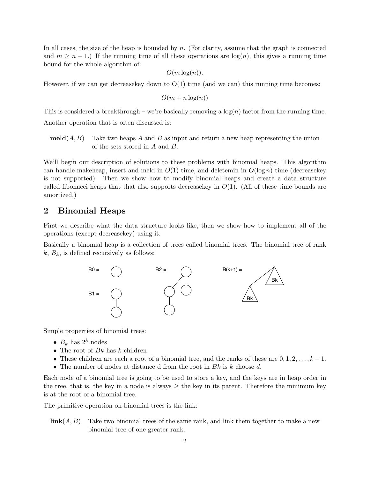In all cases, the size of the heap is bounded by  $n$ . (For clarity, assume that the graph is connected and  $m \geq n-1$ .) If the running time of all these operations are  $log(n)$ , this gives a running time bound for the whole algorithm of:

 $O(m \log(n)).$ 

However, if we can get decrease key down to  $O(1)$  time (and we can) this running time becomes:

$$
O(m + n\log(n))
$$

This is considered a breakthrough – we're basically removing a  $log(n)$  factor from the running time. Another operation that is often discussed is:

 $\textbf{meld}(A, B)$  Take two heaps A and B as input and return a new heap representing the union of the sets stored in A and B.

We'll begin our description of solutions to these problems with binomial heaps. This algorithm can handle makeheap, insert and meld in  $O(1)$  time, and deletemin in  $O(\log n)$  time (decreasekey is not supported). Then we show how to modify binomial heaps and create a data structure called fibonacci heaps that that also supports decrease key in  $O(1)$ . (All of these time bounds are amortized.)

## 2 Binomial Heaps

First we describe what the data structure looks like, then we show how to implement all of the operations (except decreasekey) using it.

Basically a binomial heap is a collection of trees called binomial trees. The binomial tree of rank  $k, B_k$ , is defined recursively as follows:



Simple properties of binomial trees:

- $B_k$  has  $2^k$  nodes
- The root of  $Bk$  has  $k$  children
- These children are each a root of a binomial tree, and the ranks of these are  $0, 1, 2, \ldots, k-1$ .
- The number of nodes at distance d from the root in  $Bk$  is k choose d.

Each node of a binomial tree is going to be used to store a key, and the keys are in heap order in the tree, that is, the key in a node is always  $\geq$  the key in its parent. Therefore the minimum key is at the root of a binomial tree.

The primitive operation on binomial trees is the link:

 $\mathbf{link}(A, B)$  Take two binomial trees of the same rank, and link them together to make a new binomial tree of one greater rank.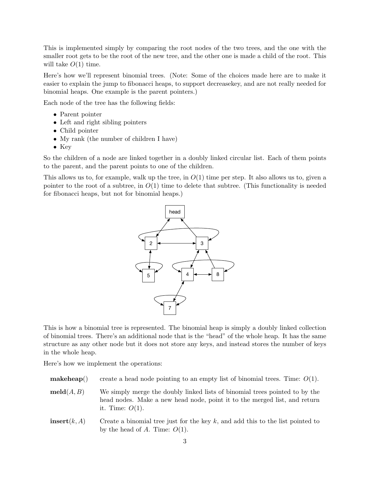This is implemented simply by comparing the root nodes of the two trees, and the one with the smaller root gets to be the root of the new tree, and the other one is made a child of the root. This will take  $O(1)$  time.

Here's how we'll represent binomial trees. (Note: Some of the choices made here are to make it easier to explain the jump to fibonacci heaps, to support decreasekey, and are not really needed for binomial heaps. One example is the parent pointers.)

Each node of the tree has the following fields:

- Parent pointer
- Left and right sibling pointers
- Child pointer
- My rank (the number of children I have)
- Key

So the children of a node are linked together in a doubly linked circular list. Each of them points to the parent, and the parent points to one of the children.

This allows us to, for example, walk up the tree, in  $O(1)$  time per step. It also allows us to, given a pointer to the root of a subtree, in  $O(1)$  time to delete that subtree. (This functionality is needed for fibonacci heaps, but not for binomial heaps.)



This is how a binomial tree is represented. The binomial heap is simply a doubly linked collection of binomial trees. There's an additional node that is the "head" of the whole heap. It has the same structure as any other node but it does not store any keys, and instead stores the number of keys in the whole heap.

Here's how we implement the operations:

- **makeheap**() create a head node pointing to an empty list of binomial trees. Time:  $O(1)$ .
- $\textbf{meld}(A, B)$  We simply merge the doubly linked lists of binomial trees pointed to by the head nodes. Make a new head node, point it to the merged list, and return it. Time:  $O(1)$ .
- **insert** $(k, A)$  Create a binomial tree just for the key k, and add this to the list pointed to by the head of A. Time:  $O(1)$ .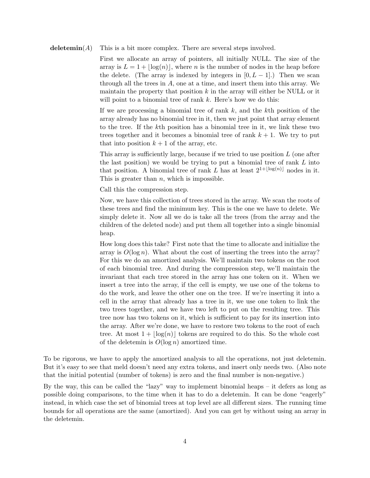#### deletemin $(A)$  This is a bit more complex. There are several steps involved.

First we allocate an array of pointers, all initially NULL. The size of the array is  $L = 1 + \lfloor \log(n) \rfloor$ , where *n* is the number of nodes in the heap before the delete. (The array is indexed by integers in  $[0, L - 1]$ .) Then we scan through all the trees in  $A$ , one at a time, and insert them into this array. We maintain the property that position  $k$  in the array will either be NULL or it will point to a binomial tree of rank  $k$ . Here's how we do this:

If we are processing a binomial tree of rank  $k$ , and the kth position of the array already has no binomial tree in it, then we just point that array element to the tree. If the kth position has a binomial tree in it, we link these two trees together and it becomes a binomial tree of rank  $k + 1$ . We try to put that into position  $k + 1$  of the array, etc.

This array is sufficiently large, because if we tried to use position L (one after the last position) we would be trying to put a binomial tree of rank  $L$  into that position. A binomial tree of rank L has at least  $2^{1+\lfloor \log(n) \rfloor}$  nodes in it. This is greater than  $n$ , which is impossible.

Call this the compression step.

Now, we have this collection of trees stored in the array. We scan the roots of these trees and find the minimum key. This is the one we have to delete. We simply delete it. Now all we do is take all the trees (from the array and the children of the deleted node) and put them all together into a single binomial heap.

How long does this take? First note that the time to allocate and initialize the array is  $O(\log n)$ . What about the cost of inserting the trees into the array? For this we do an amortized analysis. We'll maintain two tokens on the root of each binomial tree. And during the compression step, we'll maintain the invariant that each tree stored in the array has one token on it. When we insert a tree into the array, if the cell is empty, we use one of the tokens to do the work, and leave the other one on the tree. If we're inserting it into a cell in the array that already has a tree in it, we use one token to link the two trees together, and we have two left to put on the resulting tree. This tree now has two tokens on it, which is sufficient to pay for its insertion into the array. After we're done, we have to restore two tokens to the root of each tree. At most  $1 + |\log(n)|$  tokens are required to do this. So the whole cost of the deletemin is  $O(\log n)$  amortized time.

To be rigorous, we have to apply the amortized analysis to all the operations, not just deletemin. But it's easy to see that meld doesn't need any extra tokens, and insert only needs two. (Also note that the initial potential (number of tokens) is zero and the final number is non-negative.)

By the way, this can be called the "lazy" way to implement binomial heaps – it defers as long as possible doing comparisons, to the time when it has to do a deletemin. It can be done "eagerly" instead, in which case the set of binomial trees at top level are all different sizes. The running time bounds for all operations are the same (amortized). And you can get by without using an array in the deletemin.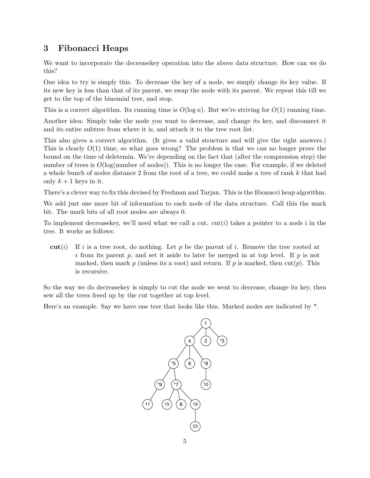# 3 Fibonacci Heaps

We want to incorporate the decreasekey operation into the above data structure. How can we do this?

One idea to try is simply this. To decrease the key of a node, we simply change its key value. If its new key is less than that of its parent, we swap the node with its parent. We repeat this till we get to the top of the binomial tree, and stop.

This is a correct algorithm. Its running time is  $O(\log n)$ . But we're striving for  $O(1)$  running time.

Another idea: Simply take the node you want to decrease, and change its key, and disconnect it and its entire subtree from where it is, and attach it to the tree root list.

This also gives a correct algorithm. (It gives a valid structure and will give the right answers.) This is clearly  $O(1)$  time, so what goes wrong? The problem is that we can no longer prove the bound on the time of deletemin. We're depending on the fact that (after the compression step) the number of trees is  $O(\log(\text{number of nodes}))$ . This is no longer the case. For example, if we deleted a whole bunch of nodes distance 2 from the root of a tree, we could make a tree of rank k that had only  $k + 1$  keys in it.

There's a clever way to fix this devised by Fredman and Tarjan. This is the fibonacci heap algorithm.

We add just one more bit of information to each node of the data structure. Call this the mark bit. The mark bits of all root nodes are always 0.

To implement decrease key, we'll need what we call a cut.  $cut(i)$  takes a pointer to a node i in the tree. It works as follows:

cut(i) If i is a tree root, do nothing. Let p be the parent of i. Remove the tree rooted at i from its parent p, and set it aside to later be merged in at top level. If  $p$  is not marked, then mark p (unless its a root) and return. If p is marked, then  $\text{cut}(p)$ . This is recursive.

So the way we do decreasekey is simply to cut the node we went to decrease, change its key, then sew all the trees freed up by the cut together at top level.

Here's an example. Say we have one tree that looks like this. Marked nodes are indicated by \*.

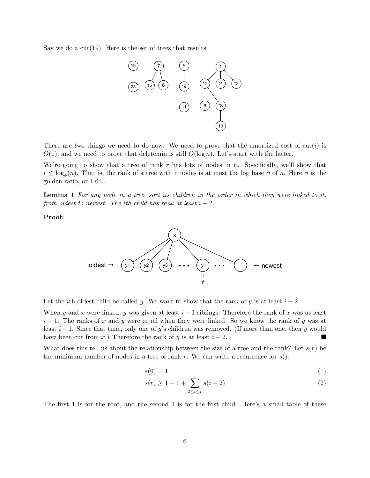Say we do a  $cut(19)$ . Here is the set of trees that results:



There are two things we need to do now. We need to prove that the amortized cost of  $\text{cut}(i)$  is  $O(1)$ , and we need to prove that deletemin is still  $O(\log n)$ . Let's start with the latter.

We're going to show that a tree of rank  $r$  has lots of nodes in it. Specifically, we'll show that  $r \leq \log_{\phi}(n)$ . That is, the rank of a tree with n nodes is at most the log base  $\phi$  of n. Here  $\phi$  is the golden ratio, or 1.61...

Lemma 1 For any node in a tree, sort its children in the order in which they were linked to it, from oldest to newest. The ith child has rank at least  $i - 2$ .

Proof:



Let the *i*th oldest child be called y. We want to show that the rank of y is at least  $i - 2$ .

When y and x were linked, y was given at least  $i - 1$  siblings. Therefore the rank of x was at least  $i-1$ . The ranks of x and y were equal when they were linked. So we know the rank of y was at least  $i - 1$ . Since that time, only one of y's children was removed. (If more than one, then y would have been cut from x.) Therefore the rank of y is at least  $i - 2$ .

What does this tell us about the relationship between the size of a tree and the rank? Let  $s(r)$  be the minimum number of nodes in a tree of rank  $r$ . We can write a recurrence for  $s$ ():

$$
s(0) = 1 \tag{1}
$$

$$
s(r) \ge 1 + 1 + \sum_{2 \le i \le r} s(i-2)
$$
 (2)

The first 1 is for the root, and the second 1 is for the first child. Here's a small table of these